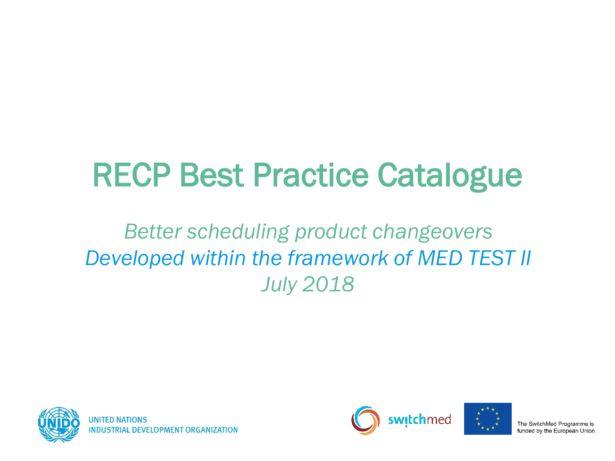### RECP Best Practice Catalogue

#### *Better scheduling product changeovers Developed within the framework of MED TEST II July 2018*





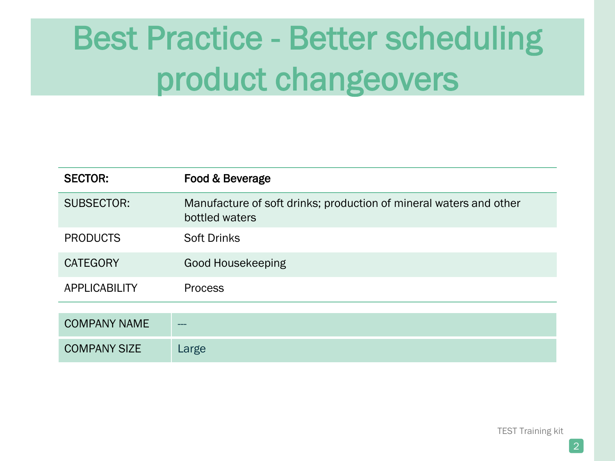| <b>SECTOR:</b>       | Food & Beverage                                                                      |
|----------------------|--------------------------------------------------------------------------------------|
| <b>SUBSECTOR:</b>    | Manufacture of soft drinks; production of mineral waters and other<br>bottled waters |
| <b>PRODUCTS</b>      | <b>Soft Drinks</b>                                                                   |
| <b>CATEGORY</b>      | Good Housekeeping                                                                    |
| <b>APPLICABILITY</b> | <b>Process</b>                                                                       |
|                      |                                                                                      |
| <b>COMPANY NAME</b>  |                                                                                      |
| <b>COMPANY SIZE</b>  | Large                                                                                |

TEST Training kit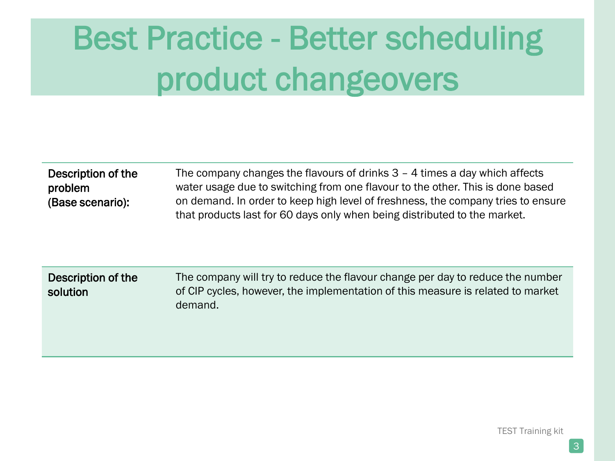| Description of the | The company changes the flavours of drinks $3 - 4$ times a day which affects     |
|--------------------|----------------------------------------------------------------------------------|
| problem            | water usage due to switching from one flavour to the other. This is done based   |
| (Base scenario):   | on demand. In order to keep high level of freshness, the company tries to ensure |
|                    | that products last for 60 days only when being distributed to the market.        |

| Description of the<br>solution | The company will try to reduce the flavour change per day to reduce the number<br>of CIP cycles, however, the implementation of this measure is related to market<br>demand. |
|--------------------------------|------------------------------------------------------------------------------------------------------------------------------------------------------------------------------|
|                                |                                                                                                                                                                              |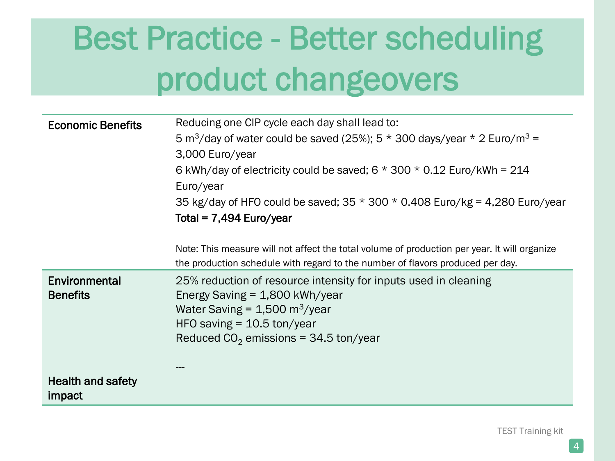| <b>Economic Benefits</b>           | Reducing one CIP cycle each day shall lead to:                                                       |
|------------------------------------|------------------------------------------------------------------------------------------------------|
|                                    | 5 m <sup>3</sup> /day of water could be saved (25%); 5 $*$ 300 days/year $*$ 2 Euro/m <sup>3</sup> = |
|                                    | 3,000 Euro/year                                                                                      |
|                                    | 6 kWh/day of electricity could be saved; $6 * 300 * 0.12$ Euro/kWh = 214                             |
|                                    | Euro/year                                                                                            |
|                                    | 35 kg/day of HFO could be saved; $35 * 300 * 0.408$ Euro/kg = 4,280 Euro/year                        |
|                                    | Total = $7,494$ Euro/year                                                                            |
|                                    |                                                                                                      |
|                                    | Note: This measure will not affect the total volume of production per year. It will organize         |
|                                    | the production schedule with regard to the number of flavors produced per day.                       |
| Environmental                      | 25% reduction of resource intensity for inputs used in cleaning                                      |
| <b>Benefits</b>                    | Energy Saving $= 1,800$ kWh/year                                                                     |
|                                    | Water Saving = $1,500 \text{ m}^3$ /year                                                             |
|                                    | HFO saving $=$ 10.5 ton/year                                                                         |
|                                    | Reduced $CO2$ emissions = 34.5 ton/year                                                              |
|                                    |                                                                                                      |
|                                    |                                                                                                      |
| <b>Health and safety</b><br>impact |                                                                                                      |